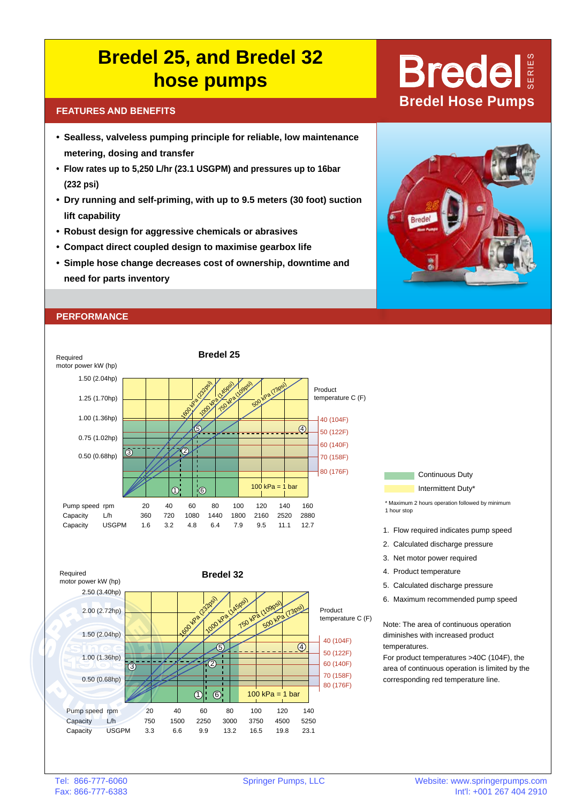## **Bredel 25, and Bredel 32 hose pumps** Bredel

- **• Sealless, valveless pumping principle for reliable, low maintenance metering, dosing and transfer**
- **• Flow rates up to 5,250 L/hr (23.1 USGPM) and pressures up to 16bar (232 psi)**
- **• Dry running and self-priming, with up to 9.5 meters (30 foot) suction lift capability**
- **• Robust design for aggressive chemicals or abrasives**
- **• Compact direct coupled design to maximise gearbox life**
- **• Simple hose change decreases cost of ownership, downtime and need for parts inventory**

### **PERFORMANCE**









- \* Maximum 2 hours operation followed by minimum 1 hour stop
- 1. Flow required indicates pump speed
- 2. Calculated discharge pressure
- 3. Net motor power required
- 4. Product temperature
- 5. Calculated discharge pressure
- 6. Maximum recommended pump speed

Note: The area of continuous operation diminishes with increased product temperatures.

For product temperatures >40C (104F), the area of continuous operation is limited by the corresponding red temperature line.

# **BREATURES AND BENEFITS**<br> **BREATURES AND BENEFITS**

s e r i e s